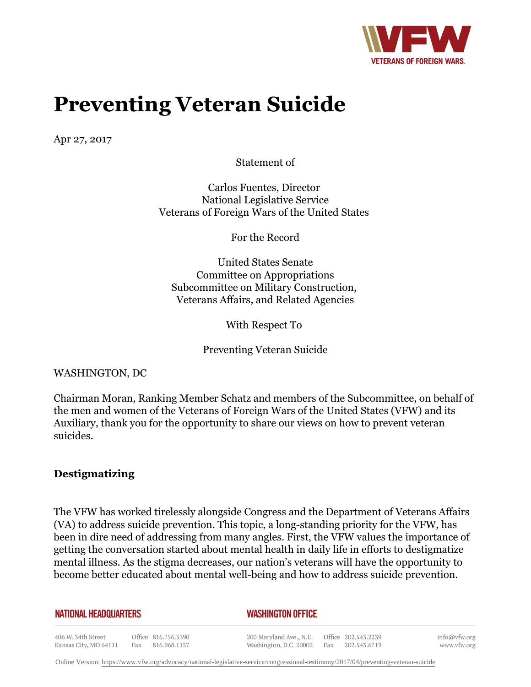

# **Preventing Veteran Suicide**

Apr 27, 2017

Statement of

Carlos Fuentes, Director National Legislative Service Veterans of Foreign Wars of the United States

For the Record

United States Senate Committee on Appropriations Subcommittee on Military Construction, Veterans Affairs, and Related Agencies

With Respect To

Preventing Veteran Suicide

WASHINGTON, DC

Chairman Moran, Ranking Member Schatz and members of the Subcommittee, on behalf of the men and women of the Veterans of Foreign Wars of the United States (VFW) and its Auxiliary, thank you for the opportunity to share our views on how to prevent veteran suicides.

### **Destigmatizing**

The VFW has worked tirelessly alongside Congress and the Department of Veterans Affairs (VA) to address suicide prevention. This topic, a long-standing priority for the VFW, has been in dire need of addressing from many angles. First, the VFW values the importance of getting the conversation started about mental health in daily life in efforts to destigmatize mental illness. As the stigma decreases, our nation's veterans will have the opportunity to become better educated about mental well-being and how to address suicide prevention.

#### **NATIONAL HEADQUARTERS**

#### *WASHINGTON OFFICE*

406 W. 34th Street Office 816.756.3390 Kansas City, MO 64111 Fax 816.968.1157

200 Maryland Ave., N.E. Washington, D.C. 20002

Office 202.543.2239 Fax 202.543.6719

info@vfw.org www.vfw.org

Online Version:<https://www.vfw.org/advocacy/national-legislative-service/congressional-testimony/2017/04/preventing-veteran-suicide>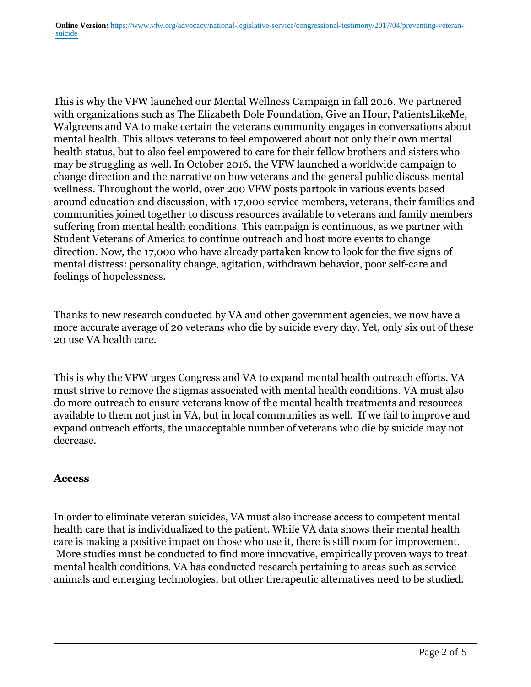This is why the VFW launched our Mental Wellness Campaign in fall 2016. We partnered with organizations such as The Elizabeth Dole Foundation, Give an Hour, PatientsLikeMe, Walgreens and VA to make certain the veterans community engages in conversations about mental health. This allows veterans to feel empowered about not only their own mental health status, but to also feel empowered to care for their fellow brothers and sisters who may be struggling as well. In October 2016, the VFW launched a worldwide campaign to change direction and the narrative on how veterans and the general public discuss mental wellness. Throughout the world, over 200 VFW posts partook in various events based around education and discussion, with 17,000 service members, veterans, their families and communities joined together to discuss resources available to veterans and family members suffering from mental health conditions. This campaign is continuous, as we partner with Student Veterans of America to continue outreach and host more events to change direction. Now, the 17,000 who have already partaken know to look for the five signs of mental distress: personality change, agitation, withdrawn behavior, poor self-care and feelings of hopelessness.

Thanks to new research conducted by VA and other government agencies, we now have a more accurate average of 20 veterans who die by suicide every day. Yet, only six out of these 20 use VA health care.

This is why the VFW urges Congress and VA to expand mental health outreach efforts. VA must strive to remove the stigmas associated with mental health conditions. VA must also do more outreach to ensure veterans know of the mental health treatments and resources available to them not just in VA, but in local communities as well. If we fail to improve and expand outreach efforts, the unacceptable number of veterans who die by suicide may not decrease.

## **Access**

In order to eliminate veteran suicides, VA must also increase access to competent mental health care that is individualized to the patient. While VA data shows their mental health care is making a positive impact on those who use it, there is still room for improvement. More studies must be conducted to find more innovative, empirically proven ways to treat mental health conditions. VA has conducted research pertaining to areas such as service animals and emerging technologies, but other therapeutic alternatives need to be studied.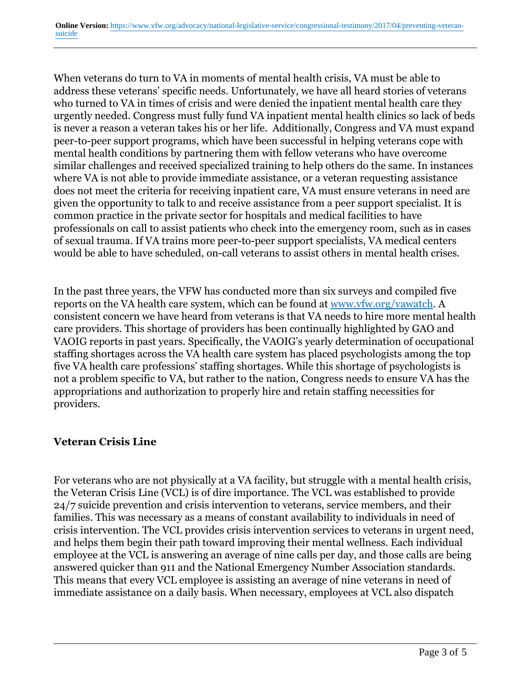When veterans do turn to VA in moments of mental health crisis, VA must be able to address these veterans' specific needs. Unfortunately, we have all heard stories of veterans who turned to VA in times of crisis and were denied the inpatient mental health care they urgently needed. Congress must fully fund VA inpatient mental health clinics so lack of beds is never a reason a veteran takes his or her life. Additionally, Congress and VA must expand peer-to-peer support programs, which have been successful in helping veterans cope with mental health conditions by partnering them with fellow veterans who have overcome similar challenges and received specialized training to help others do the same. In instances where VA is not able to provide immediate assistance, or a veteran requesting assistance does not meet the criteria for receiving inpatient care, VA must ensure veterans in need are given the opportunity to talk to and receive assistance from a peer support specialist. It is common practice in the private sector for hospitals and medical facilities to have professionals on call to assist patients who check into the emergency room, such as in cases of sexual trauma. If VA trains more peer-to-peer support specialists, VA medical centers would be able to have scheduled, on-call veterans to assist others in mental health crises.

In the past three years, the VFW has conducted more than six surveys and compiled five reports on the VA health care system, which can be found at www.vfw.org/vawatch. A consistent concern we have heard from veterans is that VA needs to hire more mental health care providers. This shortage of providers has been continually highlighted by GAO and VAOIG reports in past years. Specifically, the VAOIG's yearly determination of occupational staffing shortages across the VA health care system has placed psychologists among the top five VA health care professions' staffing shortages. While this shortage of psychologists is not a problem specific to VA, but rather to the nation, Congress needs to ensure VA has the appropriations and authorization to properly hire and retain staffing necessities for providers.

## **Veteran Crisis Line**

For veterans who are not physically at a VA facility, but struggle with a mental health crisis, the Veteran Crisis Line (VCL) is of dire importance. The VCL was established to provide 24/7 suicide prevention and crisis intervention to veterans, service members, and their families. This was necessary as a means of constant availability to individuals in need of crisis intervention. The VCL provides crisis intervention services to veterans in urgent need, and helps them begin their path toward improving their mental wellness. Each individual employee at the VCL is answering an average of nine calls per day, and those calls are being answered quicker than 911 and the National Emergency Number Association standards. This means that every VCL employee is assisting an average of nine veterans in need of immediate assistance on a daily basis. When necessary, employees at VCL also dispatch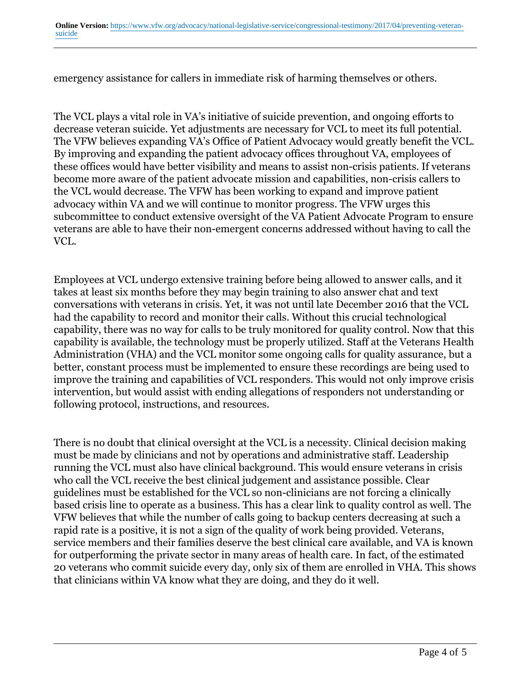**Online Version:** [https://www.vfw.org/advocacy/national-legislative-service/congressional-testimony/2017/04/preventing-veteran](https://www.vfw.org/advocacy/national-legislative-service/congressional-testimony/2017/04/preventing-veteran-suicide)[suicide](https://www.vfw.org/advocacy/national-legislative-service/congressional-testimony/2017/04/preventing-veteran-suicide)

emergency assistance for callers in immediate risk of harming themselves or others.

The VCL plays a vital role in VA's initiative of suicide prevention, and ongoing efforts to decrease veteran suicide. Yet adjustments are necessary for VCL to meet its full potential. The VFW believes expanding VA's Office of Patient Advocacy would greatly benefit the VCL. By improving and expanding the patient advocacy offices throughout VA, employees of these offices would have better visibility and means to assist non-crisis patients. If veterans become more aware of the patient advocate mission and capabilities, non-crisis callers to the VCL would decrease. The VFW has been working to expand and improve patient advocacy within VA and we will continue to monitor progress. The VFW urges this subcommittee to conduct extensive oversight of the VA Patient Advocate Program to ensure veterans are able to have their non-emergent concerns addressed without having to call the VCL.

Employees at VCL undergo extensive training before being allowed to answer calls, and it takes at least six months before they may begin training to also answer chat and text conversations with veterans in crisis. Yet, it was not until late December 2016 that the VCL had the capability to record and monitor their calls. Without this crucial technological capability, there was no way for calls to be truly monitored for quality control. Now that this capability is available, the technology must be properly utilized. Staff at the Veterans Health Administration (VHA) and the VCL monitor some ongoing calls for quality assurance, but a better, constant process must be implemented to ensure these recordings are being used to improve the training and capabilities of VCL responders. This would not only improve crisis intervention, but would assist with ending allegations of responders not understanding or following protocol, instructions, and resources.

There is no doubt that clinical oversight at the VCL is a necessity. Clinical decision making must be made by clinicians and not by operations and administrative staff. Leadership running the VCL must also have clinical background. This would ensure veterans in crisis who call the VCL receive the best clinical judgement and assistance possible. Clear guidelines must be established for the VCL so non-clinicians are not forcing a clinically based crisis line to operate as a business. This has a clear link to quality control as well. The VFW believes that while the number of calls going to backup centers decreasing at such a rapid rate is a positive, it is not a sign of the quality of work being provided. Veterans, service members and their families deserve the best clinical care available, and VA is known for outperforming the private sector in many areas of health care. In fact, of the estimated 20 veterans who commit suicide every day, only six of them are enrolled in VHA. This shows that clinicians within VA know what they are doing, and they do it well.